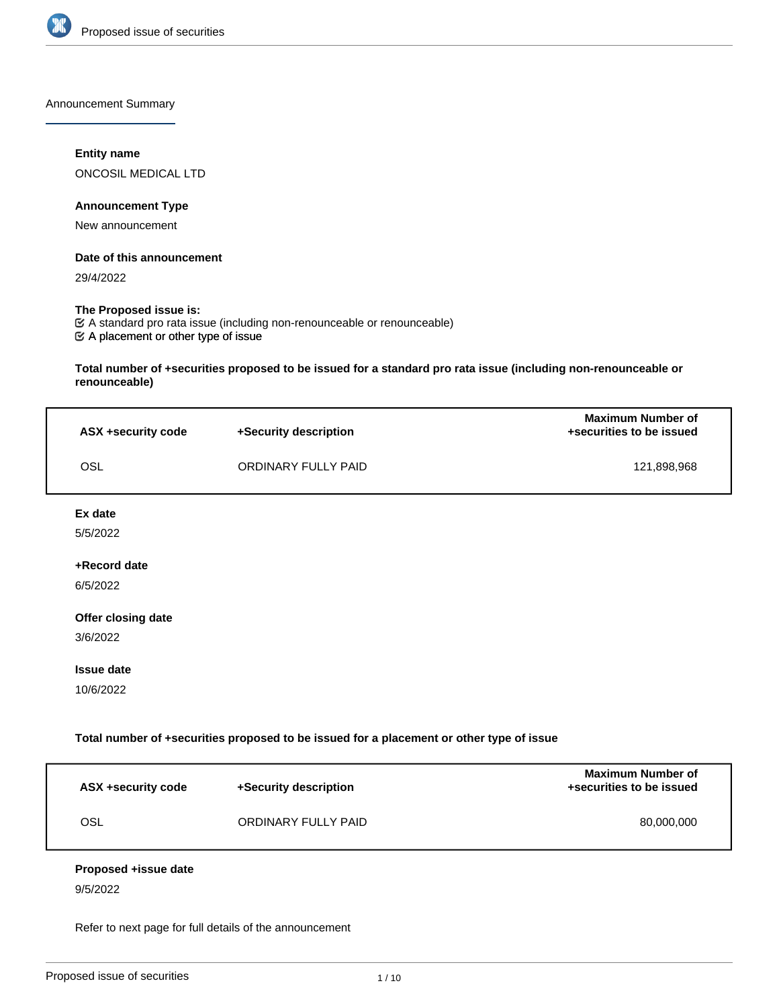

Announcement Summary

#### **Entity name**

ONCOSIL MEDICAL LTD

### **Announcement Type**

New announcement

#### **Date of this announcement**

29/4/2022

## **The Proposed issue is:**

A placement or other type of issue A standard pro rata issue (including non-renounceable or renounceable)

**Total number of +securities proposed to be issued for a standard pro rata issue (including non-renounceable or renounceable)**

| ASX +security code | +Security description | <b>Maximum Number of</b><br>+securities to be issued |
|--------------------|-----------------------|------------------------------------------------------|
| OSL                | ORDINARY FULLY PAID   | 121,898,968                                          |

**Ex date**

5/5/2022

### **+Record date**

6/5/2022

## **Offer closing date**

3/6/2022

#### **Issue date**

10/6/2022

**Total number of +securities proposed to be issued for a placement or other type of issue**

| ASX +security code | +Security description | <b>Maximum Number of</b><br>+securities to be issued |
|--------------------|-----------------------|------------------------------------------------------|
| OSL                | ORDINARY FULLY PAID   | 80,000,000                                           |
| .                  |                       |                                                      |

# **Proposed +issue date**

9/5/2022

Refer to next page for full details of the announcement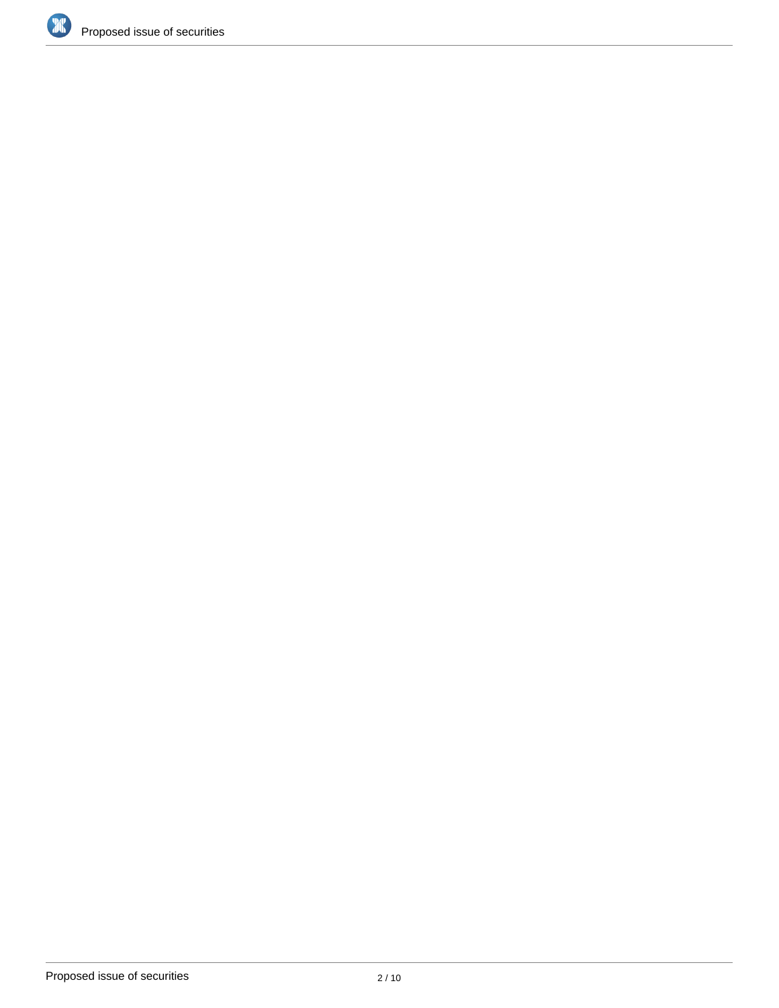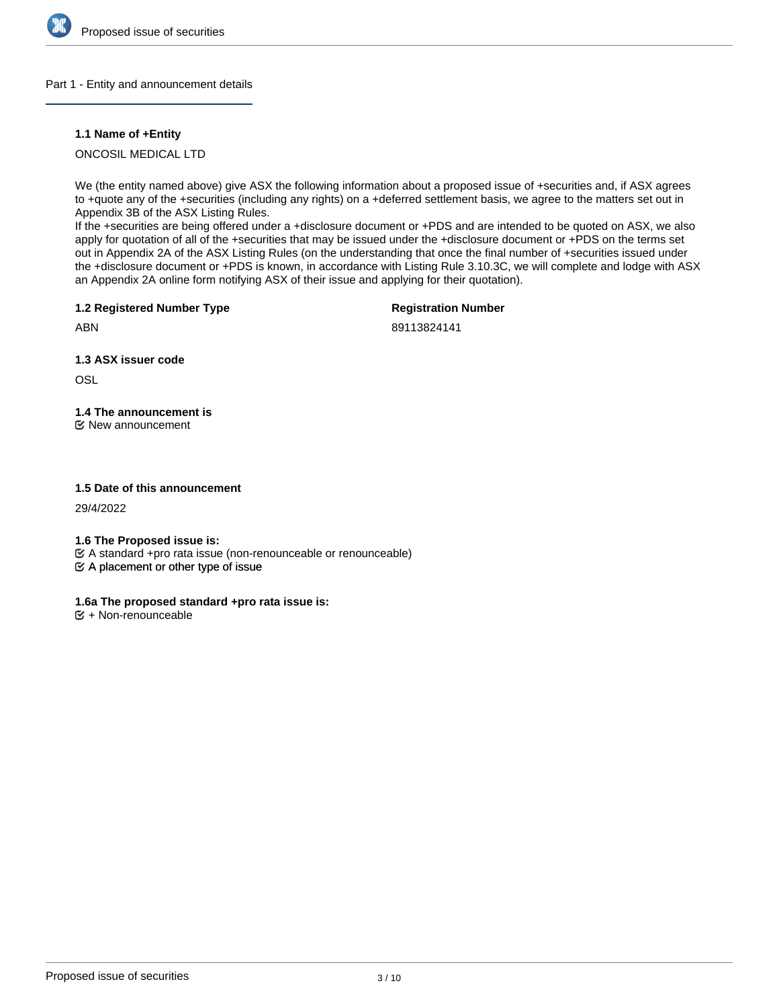

#### Part 1 - Entity and announcement details

#### **1.1 Name of +Entity**

ONCOSIL MEDICAL LTD

We (the entity named above) give ASX the following information about a proposed issue of +securities and, if ASX agrees to +quote any of the +securities (including any rights) on a +deferred settlement basis, we agree to the matters set out in Appendix 3B of the ASX Listing Rules.

If the +securities are being offered under a +disclosure document or +PDS and are intended to be quoted on ASX, we also apply for quotation of all of the +securities that may be issued under the +disclosure document or +PDS on the terms set out in Appendix 2A of the ASX Listing Rules (on the understanding that once the final number of +securities issued under the +disclosure document or +PDS is known, in accordance with Listing Rule 3.10.3C, we will complete and lodge with ASX an Appendix 2A online form notifying ASX of their issue and applying for their quotation).

**1.2 Registered Number Type**

**Registration Number**

ABN

89113824141

**1.3 ASX issuer code**

**OSL** 

**1.4 The announcement is** New announcement

#### **1.5 Date of this announcement**

29/4/2022

**1.6 The Proposed issue is:**

A standard +pro rata issue (non-renounceable or renounceable)

 $\mathfrak{S}$  A placement or other type of issue

#### **1.6a The proposed standard +pro rata issue is:**

 $E + \text{Non-renounceable}$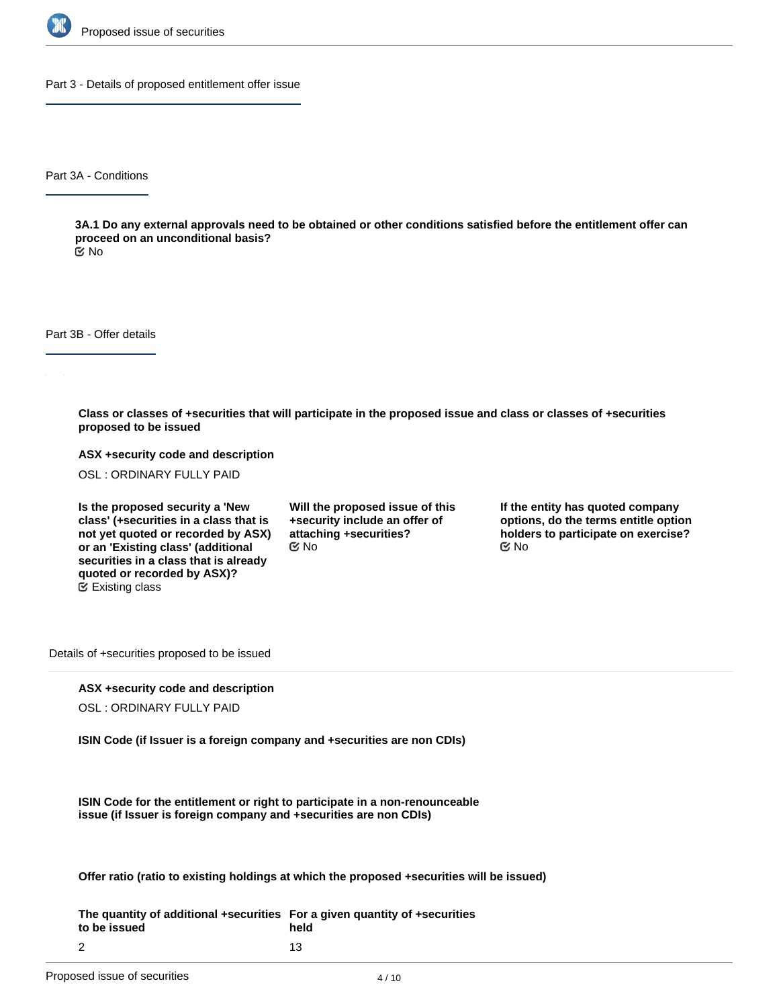

Part 3 - Details of proposed entitlement offer issue

Part 3A - Conditions

**3A.1 Do any external approvals need to be obtained or other conditions satisfied before the entitlement offer can proceed on an unconditional basis?**

No

Part 3B - Offer details

**Class or classes of +securities that will participate in the proposed issue and class or classes of +securities proposed to be issued**

**ASX +security code and description**

OSL : ORDINARY FULLY PAID

**Is the proposed security a 'New class' (+securities in a class that is not yet quoted or recorded by ASX) or an 'Existing class' (additional securities in a class that is already quoted or recorded by ASX)?** Existing class

**Will the proposed issue of this +security include an offer of attaching +securities?**  $\mathfrak{S}$  No  $\mathfrak{S}$  No  $\mathfrak{S}$  No

**If the entity has quoted company options, do the terms entitle option holders to participate on exercise?**

Details of +securities proposed to be issued

#### **ASX +security code and description**

OSL : ORDINARY FULLY PAID

**ISIN Code (if Issuer is a foreign company and +securities are non CDIs)**

**ISIN Code for the entitlement or right to participate in a non-renounceable issue (if Issuer is foreign company and +securities are non CDIs)**

**Offer ratio (ratio to existing holdings at which the proposed +securities will be issued)**

**The quantity of additional +securities For a given quantity of +securities to be issued** 2 **held** 13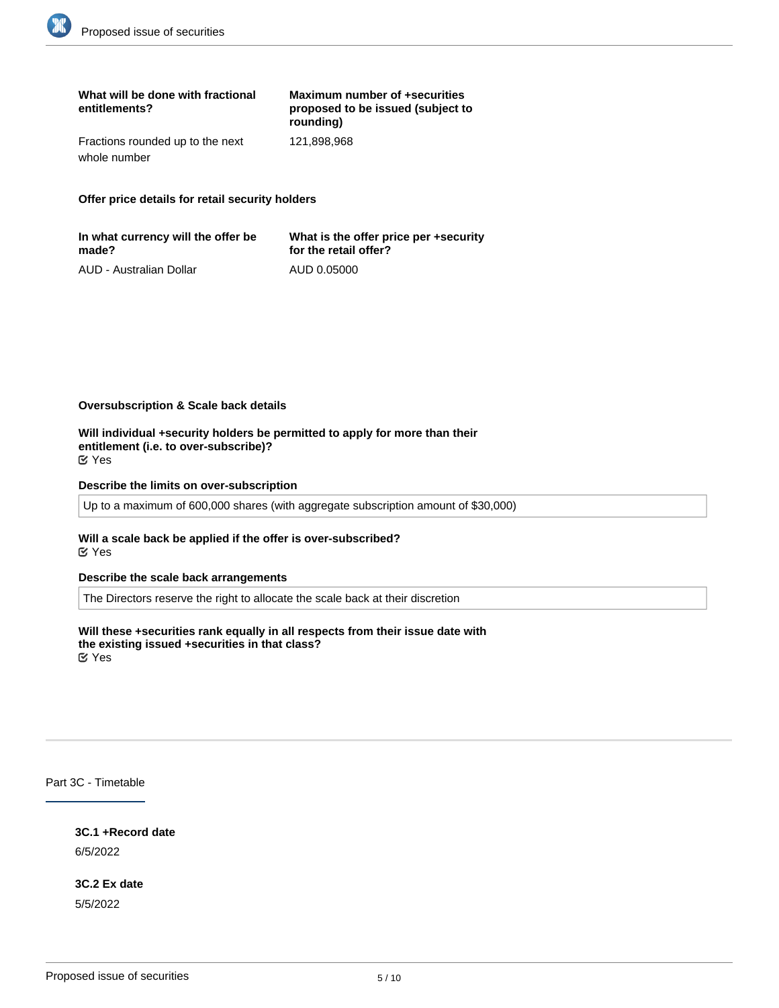| What will be done with fractional<br>entitlements? | Maximum number of +securities<br>proposed to be issued (subject to<br>rounding) |
|----------------------------------------------------|---------------------------------------------------------------------------------|
| Fractions rounded up to the next<br>whole number   | 121.898.968                                                                     |

**Offer price details for retail security holders**

| In what currency will the offer be | What is the offer price per +security |
|------------------------------------|---------------------------------------|
| made?                              | for the retail offer?                 |
| AUD - Australian Dollar            | AUD 0.05000                           |

**Oversubscription & Scale back details**

**Will individual +security holders be permitted to apply for more than their entitlement (i.e. to over-subscribe)?** Yes

**Describe the limits on over-subscription**

Up to a maximum of 600,000 shares (with aggregate subscription amount of \$30,000)

**Will a scale back be applied if the offer is over-subscribed?** Yes

**Describe the scale back arrangements**

The Directors reserve the right to allocate the scale back at their discretion

**Will these +securities rank equally in all respects from their issue date with the existing issued +securities in that class?** Yes

Part 3C - Timetable

**3C.1 +Record date** 6/5/2022

**3C.2 Ex date** 5/5/2022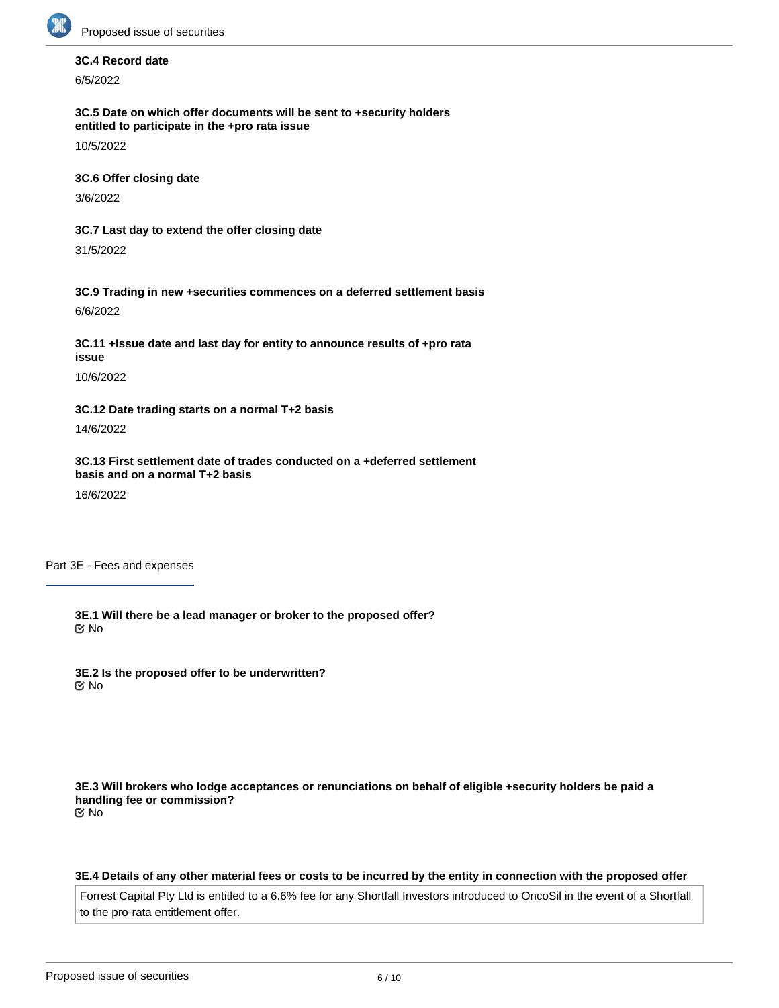

### **3C.4 Record date**

6/5/2022

**3C.5 Date on which offer documents will be sent to +security holders entitled to participate in the +pro rata issue**

10/5/2022

**3C.6 Offer closing date**

3/6/2022

**3C.7 Last day to extend the offer closing date** 31/5/2022

**3C.9 Trading in new +securities commences on a deferred settlement basis** 6/6/2022

**3C.11 +Issue date and last day for entity to announce results of +pro rata issue**

10/6/2022

**3C.12 Date trading starts on a normal T+2 basis**

14/6/2022

**3C.13 First settlement date of trades conducted on a +deferred settlement basis and on a normal T+2 basis**

16/6/2022

Part 3E - Fees and expenses

**3E.1 Will there be a lead manager or broker to the proposed offer?** No

**3E.2 Is the proposed offer to be underwritten?** No

**3E.3 Will brokers who lodge acceptances or renunciations on behalf of eligible +security holders be paid a handling fee or commission?** No

#### **3E.4 Details of any other material fees or costs to be incurred by the entity in connection with the proposed offer**

Forrest Capital Pty Ltd is entitled to a 6.6% fee for any Shortfall Investors introduced to OncoSil in the event of a Shortfall to the pro-rata entitlement offer.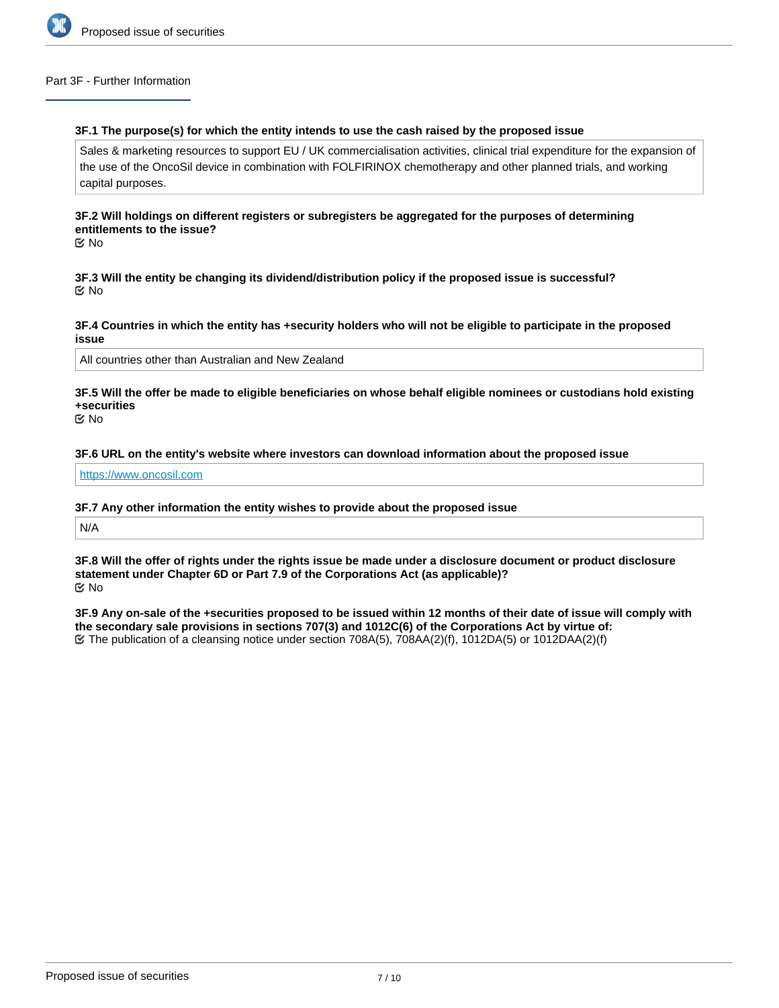

#### Part 3F - Further Information

#### **3F.1 The purpose(s) for which the entity intends to use the cash raised by the proposed issue**

Sales & marketing resources to support EU / UK commercialisation activities, clinical trial expenditure for the expansion of the use of the OncoSil device in combination with FOLFIRINOX chemotherapy and other planned trials, and working capital purposes.

## **3F.2 Will holdings on different registers or subregisters be aggregated for the purposes of determining entitlements to the issue?**

No

**3F.3 Will the entity be changing its dividend/distribution policy if the proposed issue is successful?** No

### **3F.4 Countries in which the entity has +security holders who will not be eligible to participate in the proposed issue**

All countries other than Australian and New Zealand

## **3F.5 Will the offer be made to eligible beneficiaries on whose behalf eligible nominees or custodians hold existing +securities**

No

#### **3F.6 URL on the entity's website where investors can download information about the proposed issue**

<https://www.oncosil.com>

#### **3F.7 Any other information the entity wishes to provide about the proposed issue**

N/A

**3F.8 Will the offer of rights under the rights issue be made under a disclosure document or product disclosure statement under Chapter 6D or Part 7.9 of the Corporations Act (as applicable)?** No

**3F.9 Any on-sale of the +securities proposed to be issued within 12 months of their date of issue will comply with the secondary sale provisions in sections 707(3) and 1012C(6) of the Corporations Act by virtue of:**  $\mathfrak C$  The publication of a cleansing notice under section 708A(5), 708AA(2)(f), 1012DA(5) or 1012DAA(2)(f)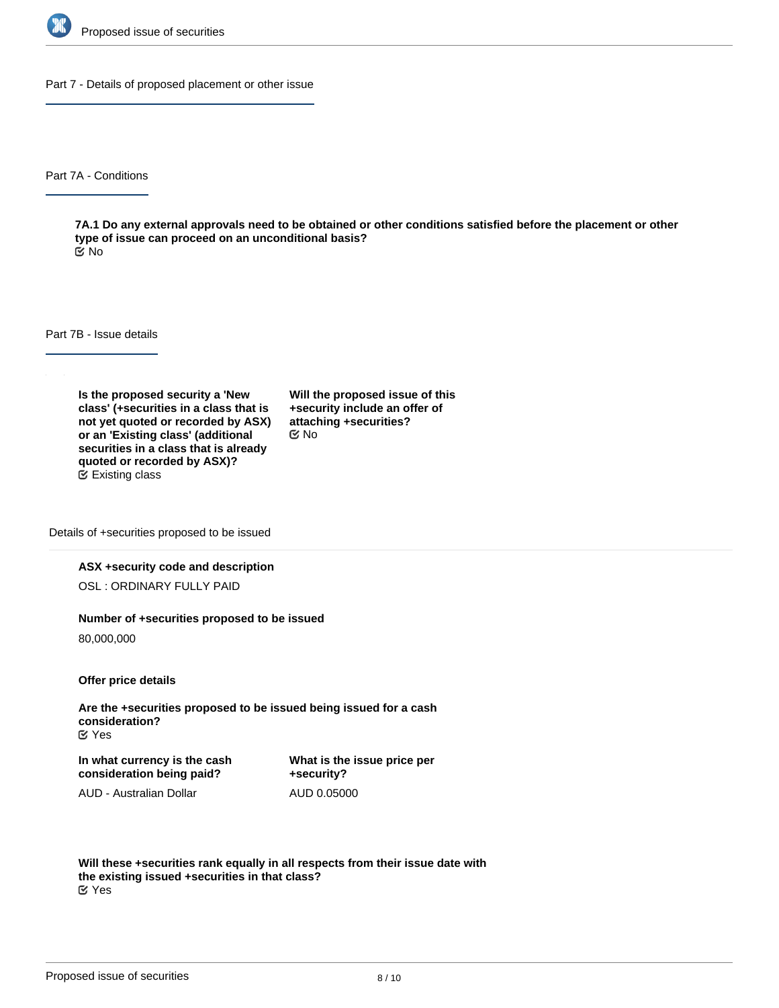

Part 7 - Details of proposed placement or other issue

Part 7A - Conditions

**7A.1 Do any external approvals need to be obtained or other conditions satisfied before the placement or other type of issue can proceed on an unconditional basis?** No

Part 7B - Issue details

**Is the proposed security a 'New class' (+securities in a class that is not yet quoted or recorded by ASX) or an 'Existing class' (additional securities in a class that is already quoted or recorded by ASX)?** Existing class

**Will the proposed issue of this +security include an offer of attaching +securities?** No

Details of +securities proposed to be issued

#### **ASX +security code and description**

OSL : ORDINARY FULLY PAID

#### **Number of +securities proposed to be issued**

80,000,000

**Offer price details**

**Are the +securities proposed to be issued being issued for a cash consideration?** Yes

**In what currency is the cash consideration being paid?**

**What is the issue price per +security?** AUD 0.05000

AUD - Australian Dollar

**Will these +securities rank equally in all respects from their issue date with the existing issued +securities in that class?** Yes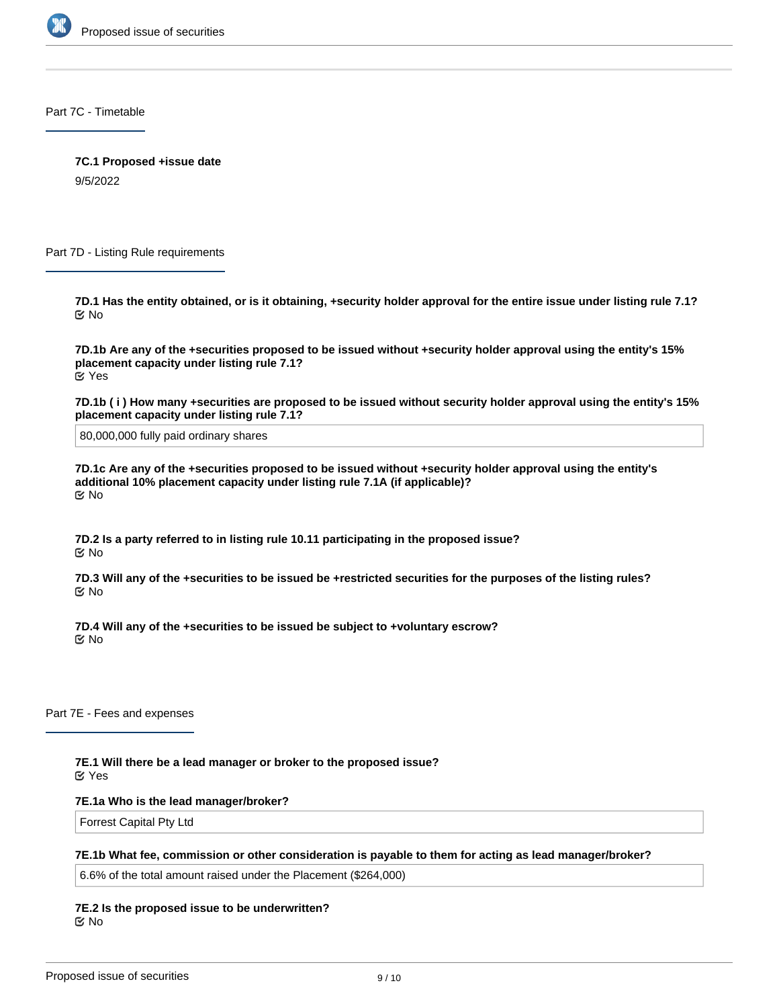

Part 7C - Timetable

**7C.1 Proposed +issue date**

9/5/2022

Part 7D - Listing Rule requirements

**7D.1 Has the entity obtained, or is it obtaining, +security holder approval for the entire issue under listing rule 7.1?** No

**7D.1b Are any of the +securities proposed to be issued without +security holder approval using the entity's 15% placement capacity under listing rule 7.1?** Yes

**7D.1b ( i ) How many +securities are proposed to be issued without security holder approval using the entity's 15% placement capacity under listing rule 7.1?**

80,000,000 fully paid ordinary shares

**7D.1c Are any of the +securities proposed to be issued without +security holder approval using the entity's additional 10% placement capacity under listing rule 7.1A (if applicable)?** No

**7D.2 Is a party referred to in listing rule 10.11 participating in the proposed issue?** No

**7D.3 Will any of the +securities to be issued be +restricted securities for the purposes of the listing rules?** No

**7D.4 Will any of the +securities to be issued be subject to +voluntary escrow?** No

Part 7E - Fees and expenses

**7E.1 Will there be a lead manager or broker to the proposed issue?** Yes

#### **7E.1a Who is the lead manager/broker?**

Forrest Capital Pty Ltd

#### **7E.1b What fee, commission or other consideration is payable to them for acting as lead manager/broker?**

6.6% of the total amount raised under the Placement (\$264,000)

**7E.2 Is the proposed issue to be underwritten?** No